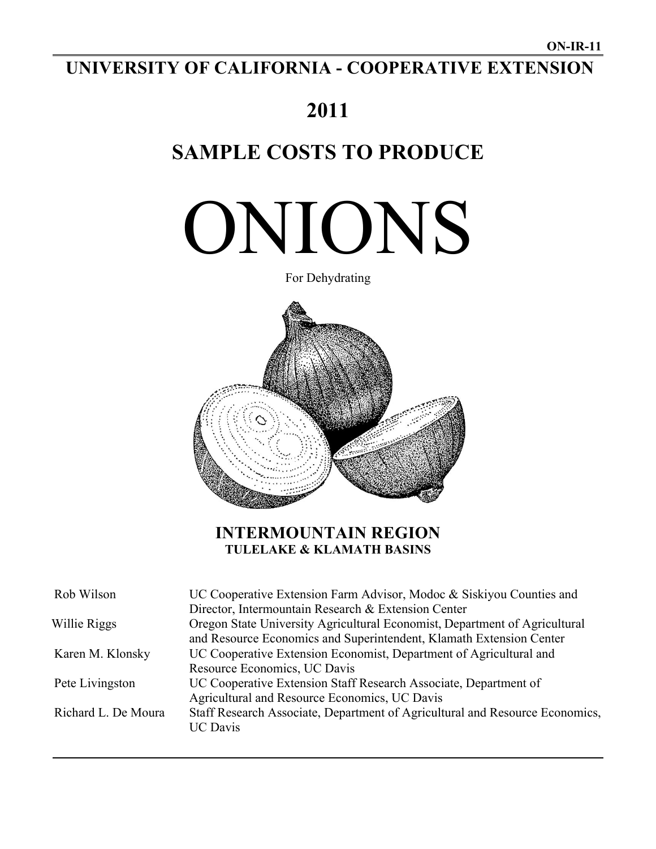# **UNIVERSITY OF CALIFORNIA - COOPERATIVE EXTENSION**

# **2011**

# **SAMPLE COSTS TO PRODUCE**

# ONIONS



# **INTERMOUNTAIN REGION TULELAKE & KLAMATH BASINS**

| Rob Wilson          | UC Cooperative Extension Farm Advisor, Modoc & Siskiyou Counties and                                                                              |
|---------------------|---------------------------------------------------------------------------------------------------------------------------------------------------|
|                     | Director, Intermountain Research & Extension Center                                                                                               |
| Willie Riggs        | Oregon State University Agricultural Economist, Department of Agricultural<br>and Resource Economics and Superintendent, Klamath Extension Center |
| Karen M. Klonsky    | UC Cooperative Extension Economist, Department of Agricultural and<br>Resource Economics, UC Davis                                                |
| Pete Livingston     | UC Cooperative Extension Staff Research Associate, Department of<br>Agricultural and Resource Economics, UC Davis                                 |
| Richard L. De Moura | Staff Research Associate, Department of Agricultural and Resource Economics,<br><b>UC</b> Davis                                                   |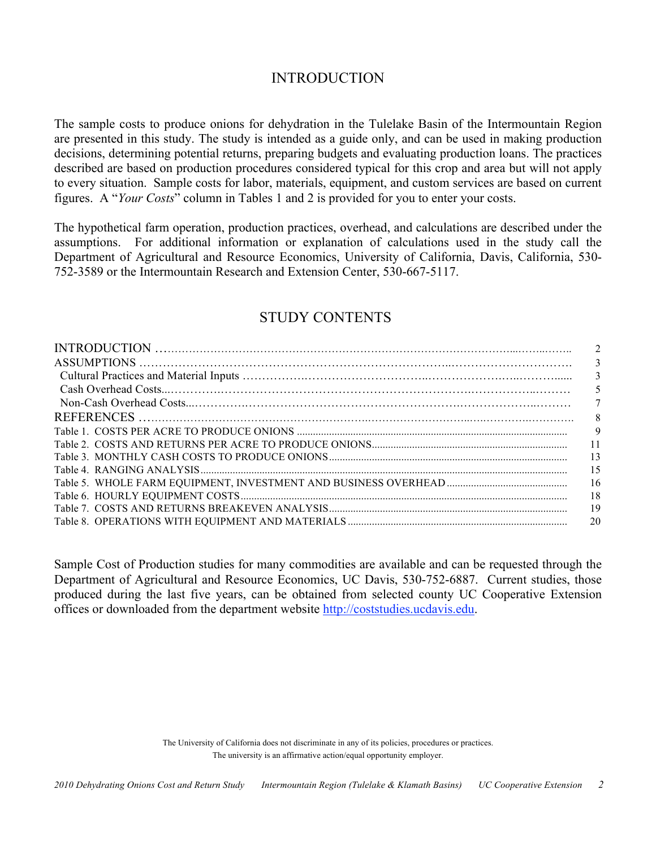## INTRODUCTION

The sample costs to produce onions for dehydration in the Tulelake Basin of the Intermountain Region are presented in this study. The study is intended as a guide only, and can be used in making production decisions, determining potential returns, preparing budgets and evaluating production loans. The practices described are based on production procedures considered typical for this crop and area but will not apply to every situation. Sample costs for labor, materials, equipment, and custom services are based on current figures. A "*Your Costs*" column in Tables 1 and 2 is provided for you to enter your costs.

The hypothetical farm operation, production practices, overhead, and calculations are described under the assumptions. For additional information or explanation of calculations used in the study call the Department of Agricultural and Resource Economics, University of California, Davis, California, 530- 752-3589 or the Intermountain Research and Extension Center, 530-667-5117.

### STUDY CONTENTS

| $\overline{3}$ |
|----------------|
| 3              |
| 5              |
| 7              |
| 8              |
| 9              |
| - 11           |
| - 13           |
| -15            |
| -16            |
| -18            |
| -19            |
| 20             |
|                |

Sample Cost of Production studies for many commodities are available and can be requested through the Department of Agricultural and Resource Economics, UC Davis, 530-752-6887. Current studies, those produced during the last five years, can be obtained from selected county UC Cooperative Extension offices or downloaded from the department website http://coststudies.ucdavis.edu.

The University of California does not discriminate in any of its policies, procedures or practices. The university is an affirmative action/equal opportunity employer.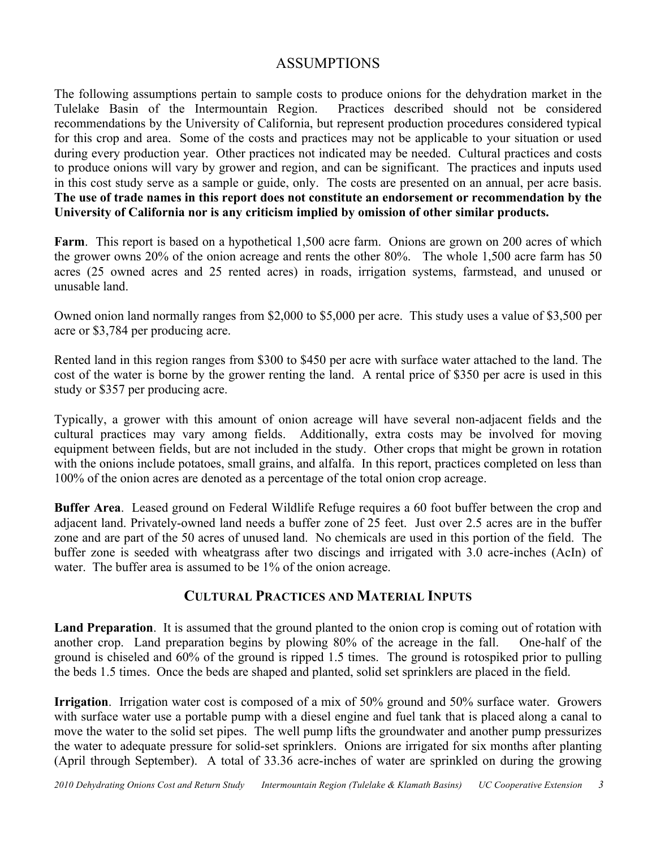## ASSUMPTIONS

The following assumptions pertain to sample costs to produce onions for the dehydration market in the Tulelake Basin of the Intermountain Region. Practices described should not be considered recommendations by the University of California, but represent production procedures considered typical for this crop and area. Some of the costs and practices may not be applicable to your situation or used during every production year. Other practices not indicated may be needed.Cultural practices and costs to produce onions will vary by grower and region, and can be significant. The practices and inputs used in this cost study serve as a sample or guide, only. The costs are presented on an annual, per acre basis. **The use of trade names in this report does not constitute an endorsement or recommendation by the University of California nor is any criticism implied by omission of other similar products.**

**Farm**. This report is based on a hypothetical 1,500 acre farm. Onions are grown on 200 acres of which the grower owns 20% of the onion acreage and rents the other 80%. The whole 1,500 acre farm has 50 acres (25 owned acres and 25 rented acres) in roads, irrigation systems, farmstead, and unused or unusable land.

Owned onion land normally ranges from \$2,000 to \$5,000 per acre. This study uses a value of \$3,500 per acre or \$3,784 per producing acre.

Rented land in this region ranges from \$300 to \$450 per acre with surface water attached to the land. The cost of the water is borne by the grower renting the land. A rental price of \$350 per acre is used in this study or \$357 per producing acre.

Typically, a grower with this amount of onion acreage will have several non-adjacent fields and the cultural practices may vary among fields. Additionally, extra costs may be involved for moving equipment between fields, but are not included in the study. Other crops that might be grown in rotation with the onions include potatoes, small grains, and alfalfa. In this report, practices completed on less than 100% of the onion acres are denoted as a percentage of the total onion crop acreage.

**Buffer Area**. Leased ground on Federal Wildlife Refuge requires a 60 foot buffer between the crop and adjacent land. Privately-owned land needs a buffer zone of 25 feet. Just over 2.5 acres are in the buffer zone and are part of the 50 acres of unused land. No chemicals are used in this portion of the field. The buffer zone is seeded with wheatgrass after two discings and irrigated with 3.0 acre-inches (AcIn) of water. The buffer area is assumed to be 1% of the onion acreage.

## **CULTURAL PRACTICES AND MATERIAL INPUTS**

**Land Preparation**. It is assumed that the ground planted to the onion crop is coming out of rotation with another crop. Land preparation begins by plowing 80% of the acreage in the fall. One-half of the ground is chiseled and 60% of the ground is ripped 1.5 times. The ground is rotospiked prior to pulling the beds 1.5 times. Once the beds are shaped and planted, solid set sprinklers are placed in the field.

**Irrigation**. Irrigation water cost is composed of a mix of 50% ground and 50% surface water. Growers with surface water use a portable pump with a diesel engine and fuel tank that is placed along a canal to move the water to the solid set pipes. The well pump lifts the groundwater and another pump pressurizes the water to adequate pressure for solid-set sprinklers. Onions are irrigated for six months after planting (April through September). A total of 33.36 acre-inches of water are sprinkled on during the growing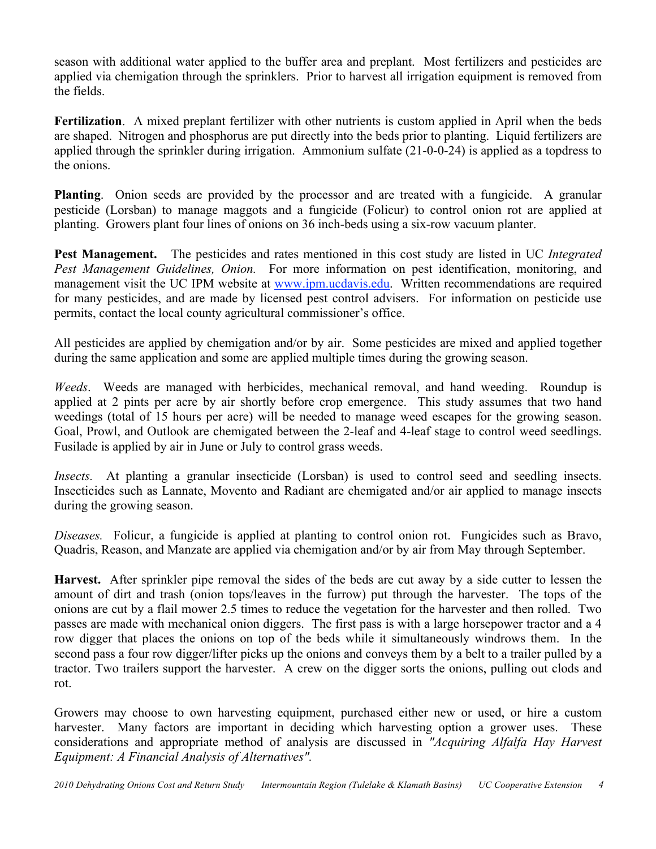season with additional water applied to the buffer area and preplant. Most fertilizers and pesticides are applied via chemigation through the sprinklers. Prior to harvest all irrigation equipment is removed from the fields.

**Fertilization**. A mixed preplant fertilizer with other nutrients is custom applied in April when the beds are shaped. Nitrogen and phosphorus are put directly into the beds prior to planting. Liquid fertilizers are applied through the sprinkler during irrigation. Ammonium sulfate (21-0-0-24) is applied as a topdress to the onions.

**Planting**. Onion seeds are provided by the processor and are treated with a fungicide. A granular pesticide (Lorsban) to manage maggots and a fungicide (Folicur) to control onion rot are applied at planting. Growers plant four lines of onions on 36 inch-beds using a six-row vacuum planter.

**Pest Management.** The pesticides and rates mentioned in this cost study are listed in UC *Integrated Pest Management Guidelines, Onion.* For more information on pest identification, monitoring, and management visit the UC IPM website at www.ipm.ucdavis.edu. Written recommendations are required for many pesticides, and are made by licensed pest control advisers. For information on pesticide use permits, contact the local county agricultural commissioner's office.

All pesticides are applied by chemigation and/or by air. Some pesticides are mixed and applied together during the same application and some are applied multiple times during the growing season.

*Weeds*. Weeds are managed with herbicides, mechanical removal, and hand weeding. Roundup is applied at 2 pints per acre by air shortly before crop emergence. This study assumes that two hand weedings (total of 15 hours per acre) will be needed to manage weed escapes for the growing season. Goal, Prowl, and Outlook are chemigated between the 2-leaf and 4-leaf stage to control weed seedlings. Fusilade is applied by air in June or July to control grass weeds.

*Insects.* At planting a granular insecticide (Lorsban) is used to control seed and seedling insects. Insecticides such as Lannate, Movento and Radiant are chemigated and/or air applied to manage insects during the growing season.

*Diseases.* Folicur, a fungicide is applied at planting to control onion rot. Fungicides such as Bravo, Quadris, Reason, and Manzate are applied via chemigation and/or by air from May through September.

**Harvest.** After sprinkler pipe removal the sides of the beds are cut away by a side cutter to lessen the amount of dirt and trash (onion tops/leaves in the furrow) put through the harvester. The tops of the onions are cut by a flail mower 2.5 times to reduce the vegetation for the harvester and then rolled. Two passes are made with mechanical onion diggers. The first pass is with a large horsepower tractor and a 4 row digger that places the onions on top of the beds while it simultaneously windrows them. In the second pass a four row digger/lifter picks up the onions and conveys them by a belt to a trailer pulled by a tractor. Two trailers support the harvester. A crew on the digger sorts the onions, pulling out clods and rot.

Growers may choose to own harvesting equipment, purchased either new or used, or hire a custom harvester. Many factors are important in deciding which harvesting option a grower uses. These considerations and appropriate method of analysis are discussed in *"Acquiring Alfalfa Hay Harvest Equipment: A Financial Analysis of Alternatives".*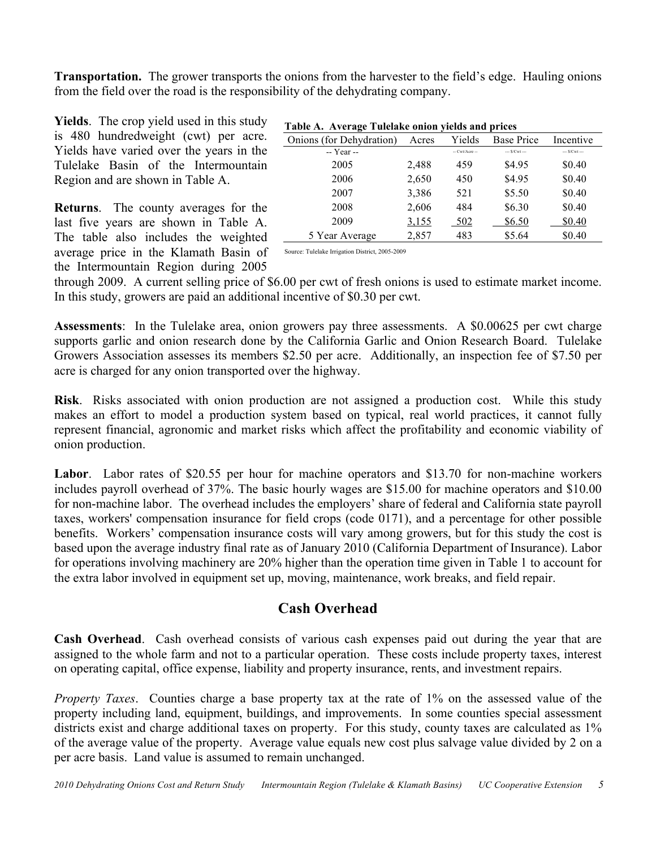**Transportation.** The grower transports the onions from the harvester to the field's edge. Hauling onions from the field over the road is the responsibility of the dehydrating company.

**Yields**. The crop yield used in this study is 480 hundredweight (cwt) per acre. Yields have varied over the years in the Tulelake Basin of the Intermountain Region and are shown in Table A.

**Returns**. The county averages for the last five years are shown in Table A. The table also includes the weighted average price in the Klamath Basin of the Intermountain Region during 2005

| Onions (for Dehydration) | Acres | Yields         | <b>Base Price</b> | Incentive     |
|--------------------------|-------|----------------|-------------------|---------------|
| -- Year --               |       | -- Cwt/Acre -- | $-$ S/Cwt $-$     | $-$ S/Cwt $-$ |
| 2005                     | 2,488 | 459            | \$4.95            | \$0.40        |
| 2006                     | 2,650 | 450            | \$4.95            | \$0.40        |
| 2007                     | 3,386 | 521            | \$5.50            | \$0.40        |
| 2008                     | 2,606 | 484            | \$6.30            | \$0.40        |
| 2009                     | 3.155 | 502            | \$6.50            | \$0.40        |
| 5 Year Average           | 2,857 | 483            | \$5.64            | \$0.40        |

Source: Tulelake Irrigation District, 2005-2009

through 2009. A current selling price of \$6.00 per cwt of fresh onions is used to estimate market income. In this study, growers are paid an additional incentive of \$0.30 per cwt.

**Assessments**: In the Tulelake area, onion growers pay three assessments. A \$0.00625 per cwt charge supports garlic and onion research done by the California Garlic and Onion Research Board. Tulelake Growers Association assesses its members \$2.50 per acre. Additionally, an inspection fee of \$7.50 per acre is charged for any onion transported over the highway.

**Risk**. Risks associated with onion production are not assigned a production cost. While this study makes an effort to model a production system based on typical, real world practices, it cannot fully represent financial, agronomic and market risks which affect the profitability and economic viability of onion production.

**Labor**. Labor rates of \$20.55 per hour for machine operators and \$13.70 for non-machine workers includes payroll overhead of 37%. The basic hourly wages are \$15.00 for machine operators and \$10.00 for non-machine labor. The overhead includes the employers' share of federal and California state payroll taxes, workers' compensation insurance for field crops (code 0171), and a percentage for other possible benefits. Workers' compensation insurance costs will vary among growers, but for this study the cost is based upon the average industry final rate as of January 2010 (California Department of Insurance). Labor for operations involving machinery are 20% higher than the operation time given in Table 1 to account for the extra labor involved in equipment set up, moving, maintenance, work breaks, and field repair.

# **Cash Overhead**

**Cash Overhead**. Cash overhead consists of various cash expenses paid out during the year that are assigned to the whole farm and not to a particular operation. These costs include property taxes, interest on operating capital, office expense, liability and property insurance, rents, and investment repairs.

*Property Taxes*. Counties charge a base property tax at the rate of 1% on the assessed value of the property including land, equipment, buildings, and improvements. In some counties special assessment districts exist and charge additional taxes on property. For this study, county taxes are calculated as 1% of the average value of the property. Average value equals new cost plus salvage value divided by 2 on a per acre basis. Land value is assumed to remain unchanged.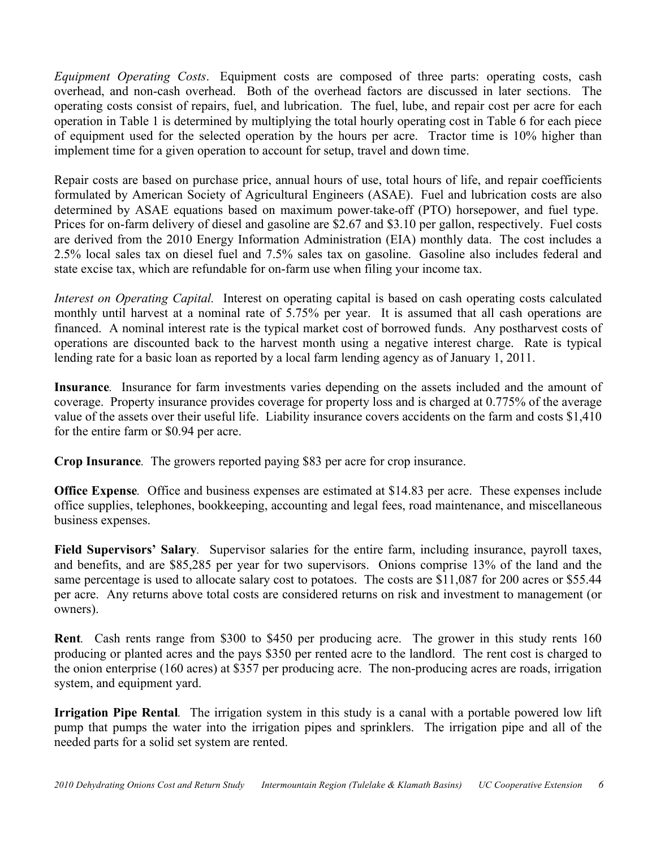*Equipment Operating Costs*. Equipment costs are composed of three parts: operating costs, cash overhead, and non-cash overhead. Both of the overhead factors are discussed in later sections. The operating costs consist of repairs, fuel, and lubrication. The fuel, lube, and repair cost per acre for each operation in Table 1 is determined by multiplying the total hourly operating cost in Table 6 for each piece of equipment used for the selected operation by the hours per acre. Tractor time is 10% higher than implement time for a given operation to account for setup, travel and down time.

Repair costs are based on purchase price, annual hours of use, total hours of life, and repair coefficients formulated by American Society of Agricultural Engineers (ASAE). Fuel and lubrication costs are also determined by ASAE equations based on maximum power-take-off (PTO) horsepower, and fuel type. Prices for on-farm delivery of diesel and gasoline are \$2.67 and \$3.10 per gallon, respectively. Fuel costs are derived from the 2010 Energy Information Administration (EIA) monthly data. The cost includes a 2.5% local sales tax on diesel fuel and 7.5% sales tax on gasoline. Gasoline also includes federal and state excise tax, which are refundable for on-farm use when filing your income tax.

*Interest on Operating Capital.* Interest on operating capital is based on cash operating costs calculated monthly until harvest at a nominal rate of 5.75% per year. It is assumed that all cash operations are financed. A nominal interest rate is the typical market cost of borrowed funds. Any postharvest costs of operations are discounted back to the harvest month using a negative interest charge. Rate is typical lending rate for a basic loan as reported by a local farm lending agency as of January 1, 2011.

**Insurance***.* Insurance for farm investments varies depending on the assets included and the amount of coverage. Property insurance provides coverage for property loss and is charged at 0.775% of the average value of the assets over their useful life. Liability insurance covers accidents on the farm and costs \$1,410 for the entire farm or \$0.94 per acre.

**Crop Insurance***.* The growers reported paying \$83 per acre for crop insurance.

**Office Expense***.* Office and business expenses are estimated at \$14.83 per acre. These expenses include office supplies, telephones, bookkeeping, accounting and legal fees, road maintenance, and miscellaneous business expenses.

**Field Supervisors' Salary***.* Supervisor salaries for the entire farm, including insurance, payroll taxes, and benefits, and are \$85,285 per year for two supervisors. Onions comprise 13% of the land and the same percentage is used to allocate salary cost to potatoes. The costs are \$11,087 for 200 acres or \$55.44 per acre. Any returns above total costs are considered returns on risk and investment to management (or owners).

**Rent***.* Cash rents range from \$300 to \$450 per producing acre. The grower in this study rents 160 producing or planted acres and the pays \$350 per rented acre to the landlord. The rent cost is charged to the onion enterprise (160 acres) at \$357 per producing acre. The non-producing acres are roads, irrigation system, and equipment yard.

**Irrigation Pipe Rental***.* The irrigation system in this study is a canal with a portable powered low lift pump that pumps the water into the irrigation pipes and sprinklers. The irrigation pipe and all of the needed parts for a solid set system are rented.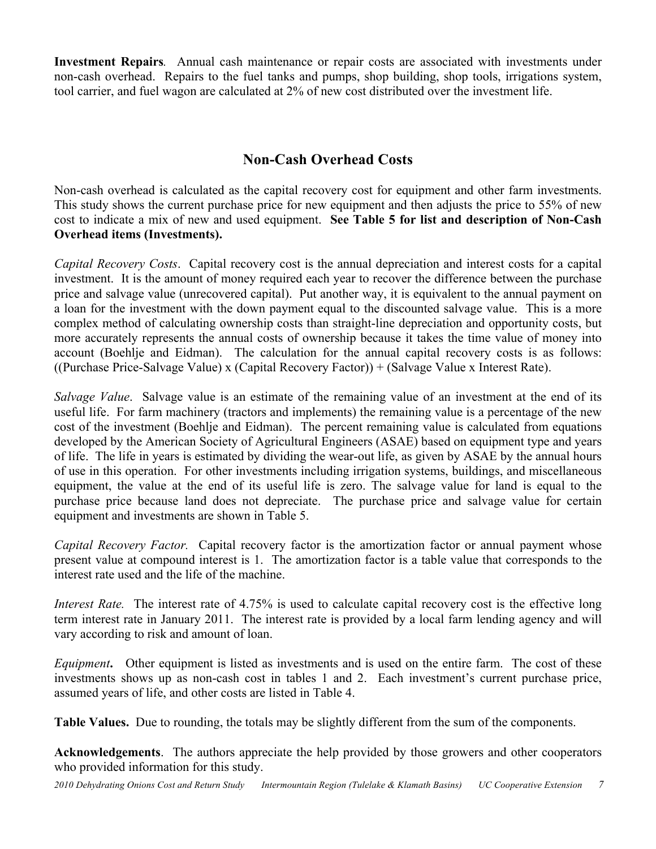**Investment Repairs***.* Annual cash maintenance or repair costs are associated with investments under non-cash overhead. Repairs to the fuel tanks and pumps, shop building, shop tools, irrigations system, tool carrier, and fuel wagon are calculated at 2% of new cost distributed over the investment life.

# **Non-Cash Overhead Costs**

Non-cash overhead is calculated as the capital recovery cost for equipment and other farm investments. This study shows the current purchase price for new equipment and then adjusts the price to 55% of new cost to indicate a mix of new and used equipment. **See Table 5 for list and description of Non-Cash Overhead items (Investments).**

*Capital Recovery Costs*. Capital recovery cost is the annual depreciation and interest costs for a capital investment. It is the amount of money required each year to recover the difference between the purchase price and salvage value (unrecovered capital). Put another way, it is equivalent to the annual payment on a loan for the investment with the down payment equal to the discounted salvage value. This is a more complex method of calculating ownership costs than straight-line depreciation and opportunity costs, but more accurately represents the annual costs of ownership because it takes the time value of money into account (Boehlje and Eidman). The calculation for the annual capital recovery costs is as follows: ((Purchase Price-Salvage Value) x (Capital Recovery Factor)) + (Salvage Value x Interest Rate).

*Salvage Value*. Salvage value is an estimate of the remaining value of an investment at the end of its useful life. For farm machinery (tractors and implements) the remaining value is a percentage of the new cost of the investment (Boehlje and Eidman). The percent remaining value is calculated from equations developed by the American Society of Agricultural Engineers (ASAE) based on equipment type and years of life. The life in years is estimated by dividing the wear-out life, as given by ASAE by the annual hours of use in this operation. For other investments including irrigation systems, buildings, and miscellaneous equipment, the value at the end of its useful life is zero. The salvage value for land is equal to the purchase price because land does not depreciate. The purchase price and salvage value for certain equipment and investments are shown in Table 5.

*Capital Recovery Factor.* Capital recovery factor is the amortization factor or annual payment whose present value at compound interest is 1. The amortization factor is a table value that corresponds to the interest rate used and the life of the machine.

*Interest Rate.* The interest rate of 4.75% is used to calculate capital recovery cost is the effective long term interest rate in January 2011. The interest rate is provided by a local farm lending agency and will vary according to risk and amount of loan.

*Equipment***.** Other equipment is listed as investments and is used on the entire farm. The cost of these investments shows up as non-cash cost in tables 1 and 2. Each investment's current purchase price, assumed years of life, and other costs are listed in Table 4.

**Table Values.** Due to rounding, the totals may be slightly different from the sum of the components.

**Acknowledgements**. The authors appreciate the help provided by those growers and other cooperators who provided information for this study.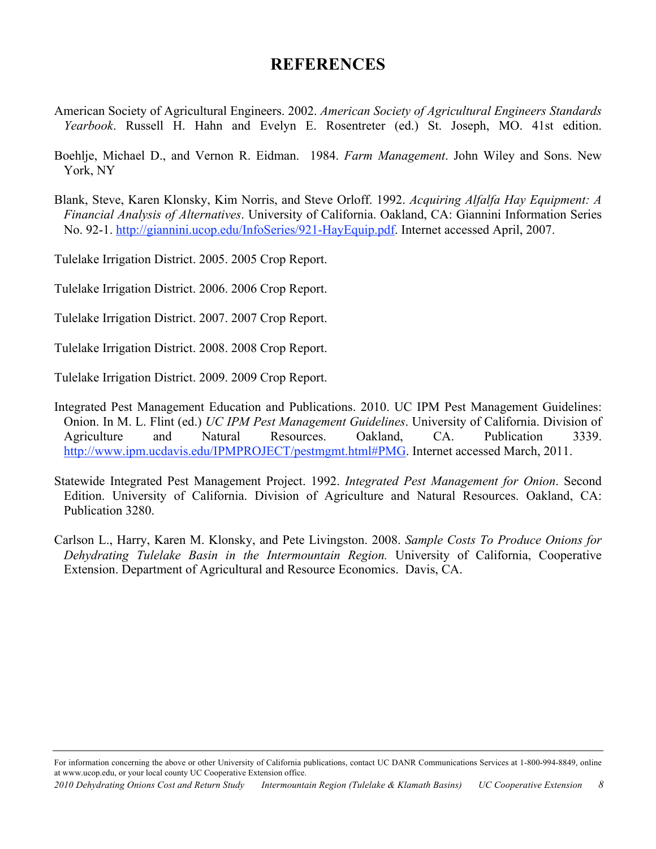# **REFERENCES**

- American Society of Agricultural Engineers. 2002. *American Society of Agricultural Engineers Standards Yearbook*. Russell H. Hahn and Evelyn E. Rosentreter (ed.) St. Joseph, MO. 41st edition.
- Boehlje, Michael D., and Vernon R. Eidman. 1984. *Farm Management*. John Wiley and Sons. New York, NY
- Blank, Steve, Karen Klonsky, Kim Norris, and Steve Orloff. 1992. *Acquiring Alfalfa Hay Equipment: A Financial Analysis of Alternatives*. University of California. Oakland, CA: Giannini Information Series No. 92-1. http://giannini.ucop.edu/InfoSeries/921-HayEquip.pdf. Internet accessed April, 2007.

Tulelake Irrigation District. 2005. 2005 Crop Report.

Tulelake Irrigation District. 2006. 2006 Crop Report.

Tulelake Irrigation District. 2007. 2007 Crop Report.

Tulelake Irrigation District. 2008. 2008 Crop Report.

Tulelake Irrigation District. 2009. 2009 Crop Report.

Integrated Pest Management Education and Publications. 2010. UC IPM Pest Management Guidelines: Onion. In M. L. Flint (ed.) *UC IPM Pest Management Guidelines*. University of California. Division of Agriculture and Natural Resources. Oakland, CA. Publication 3339. http://www.ipm.ucdavis.edu/IPMPROJECT/pestmgmt.html#PMG. Internet accessed March, 2011.

Statewide Integrated Pest Management Project. 1992. *Integrated Pest Management for Onion*. Second Edition. University of California. Division of Agriculture and Natural Resources. Oakland, CA: Publication 3280.

Carlson L., Harry, Karen M. Klonsky, and Pete Livingston. 2008. *Sample Costs To Produce Onions for Dehydrating Tulelake Basin in the Intermountain Region.* University of California, Cooperative Extension. Department of Agricultural and Resource Economics. Davis, CA.

For information concerning the above or other University of California publications, contact UC DANR Communications Services at 1-800-994-8849, online at www.ucop.edu, or your local county UC Cooperative Extension office.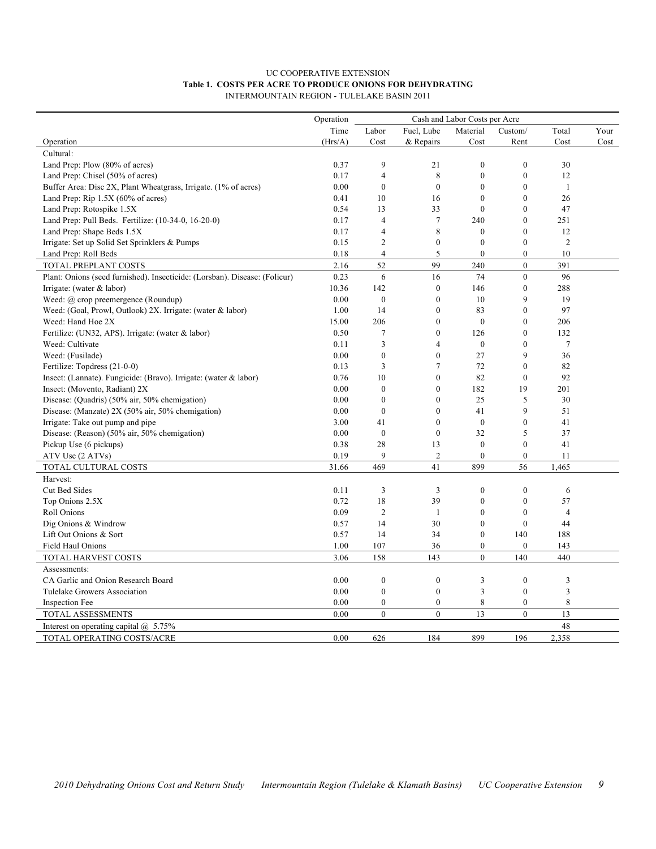#### UC COOPERATIVE EXTENSION **Table 1. COSTS PER ACRE TO PRODUCE ONIONS FOR DEHYDRATING** INTERMOUNTAIN REGION - TULELAKE BASIN 2011

|                                                                                   | Operation    |                    |                                |                      |                              |                |      |
|-----------------------------------------------------------------------------------|--------------|--------------------|--------------------------------|----------------------|------------------------------|----------------|------|
|                                                                                   | Time         | Labor              | Fuel, Lube                     | Material             | Custom/                      | Total          | Your |
| Operation                                                                         | (Hrs/A)      | Cost               | & Repairs                      | Cost                 | Rent                         | Cost           | Cost |
| Cultural:                                                                         |              |                    |                                |                      |                              |                |      |
| Land Prep: Plow (80% of acres)                                                    | 0.37         | 9                  | 21                             | $\mathbf{0}$         | $\boldsymbol{0}$             | 30             |      |
| Land Prep: Chisel (50% of acres)                                                  | 0.17         | $\overline{4}$     | 8                              | $\mathbf{0}$         | $\boldsymbol{0}$             | 12             |      |
| Buffer Area: Disc 2X, Plant Wheatgrass, Irrigate. (1% of acres)                   | 0.00         | $\mathbf{0}$       | $\overline{0}$                 | $\theta$             | $\boldsymbol{0}$             | $\mathbf{1}$   |      |
| Land Prep: Rip $1.5X$ (60% of acres)                                              | 0.41         | 10                 | 16                             | $\theta$<br>$\theta$ | $\boldsymbol{0}$<br>$\theta$ | 26             |      |
| Land Prep: Rotospike 1.5X                                                         | 0.54<br>0.17 | 13<br>4            | 33<br>$7\phantom{.0}$          | 240                  | $\theta$                     | 47<br>251      |      |
| Land Prep: Pull Beds. Fertilize: (10-34-0, 16-20-0)<br>Land Prep: Shape Beds 1.5X | 0.17         | $\overline{4}$     | 8                              | $\theta$             | $\theta$                     | 12             |      |
| Irrigate: Set up Solid Set Sprinklers & Pumps                                     | 0.15         | $\mathfrak{2}$     | $\boldsymbol{0}$               | $\theta$             | $\mathbf{0}$                 | $\overline{2}$ |      |
| Land Prep: Roll Beds                                                              | 0.18         | $\overline{4}$     | 5                              | $\mathbf{0}$         | $\mathbf{0}$                 | 10             |      |
| TOTAL PREPLANT COSTS                                                              | 2.16         | 52                 | 99                             | 240                  | $\boldsymbol{0}$             | 391            |      |
| Plant: Onions (seed furnished). Insecticide: (Lorsban). Disease: (Folicur)        | 0.23         | 6                  | 16                             | 74                   | $\mathbf{0}$                 | 96             |      |
| Irrigate: (water $&$ labor)                                                       | 10.36        | 142                | $\boldsymbol{0}$               | 146                  | $\boldsymbol{0}$             | 288            |      |
| Weed: $(a)$ crop preemergence (Roundup)                                           | 0.00         | $\boldsymbol{0}$   | $\boldsymbol{0}$               | 10                   | 9                            | 19             |      |
| Weed: (Goal, Prowl, Outlook) 2X. Irrigate: (water & labor)                        | 1.00         | 14                 | $\boldsymbol{0}$               | 83                   | $\boldsymbol{0}$             | 97             |      |
| Weed: Hand Hoe 2X                                                                 | 15.00        | 206                | $\mathbf{0}$                   | $\mathbf{0}$         | $\theta$                     | 206            |      |
| Fertilize: (UN32, APS). Irrigate: (water & labor)                                 | 0.50         | 7                  | $\overline{0}$                 | 126                  | $\theta$                     | 132            |      |
| Weed: Cultivate                                                                   | 0.11         | 3                  | 4                              | $\mathbf{0}$         | $\overline{0}$               | $\tau$         |      |
| Weed: (Fusilade)                                                                  | 0.00         | $\mathbf{0}$       | $\overline{0}$                 | 27                   | 9                            | 36             |      |
| Fertilize: Topdress (21-0-0)                                                      | 0.13         | 3                  | 7                              | 72                   | $\theta$                     | 82             |      |
| Insect: (Lannate). Fungicide: (Bravo). Irrigate: (water & labor)                  | 0.76         | 10                 | $\boldsymbol{0}$               | 82                   | $\boldsymbol{0}$             | 92             |      |
| Insect: (Movento, Radiant) 2X                                                     | 0.00         | $\boldsymbol{0}$   | $\boldsymbol{0}$               | 182                  | 19                           | 201            |      |
| Disease: (Quadris) (50% air, 50% chemigation)                                     | 0.00         | $\mathbf{0}$       | $\overline{0}$                 | 25                   | 5                            | 30             |      |
| Disease: (Manzate) 2X (50% air, 50% chemigation)                                  | 0.00<br>3.00 | $\mathbf{0}$<br>41 | $\mathbf{0}$<br>$\overline{0}$ | 41<br>$\mathbf{0}$   | 9<br>$\mathbf{0}$            | 51<br>41       |      |
| Irrigate: Take out pump and pipe<br>Disease: (Reason) (50% air, 50% chemigation)  | 0.00         | $\mathbf{0}$       | $\overline{0}$                 | 32                   | 5                            | 37             |      |
| Pickup Use (6 pickups)                                                            | 0.38         | 28                 | 13                             | $\mathbf{0}$         | $\mathbf{0}$                 | 41             |      |
| ATV Use (2 ATVs)                                                                  | 0.19         | 9                  | $\overline{c}$                 | $\mathbf{0}$         | $\mathbf{0}$                 | 11             |      |
| TOTAL CULTURAL COSTS                                                              | 31.66        | 469                | 41                             | 899                  | 56                           | 1,465          |      |
| Harvest:                                                                          |              |                    |                                |                      |                              |                |      |
| Cut Bed Sides                                                                     | 0.11         | 3                  | 3                              | $\boldsymbol{0}$     | $\boldsymbol{0}$             | 6              |      |
| Top Onions 2.5X                                                                   | 0.72         | 18                 | 39                             | $\theta$             | $\mathbf{0}$                 | 57             |      |
| Roll Onions                                                                       | 0.09         | $\overline{2}$     | $\mathbf{1}$                   | $\theta$             | $\theta$                     | $\overline{4}$ |      |
| Dig Onions & Windrow                                                              | 0.57         | 14                 | 30                             | $\mathbf{0}$         | $\mathbf{0}$                 | 44             |      |
| Lift Out Onions & Sort                                                            | 0.57         | 14                 | 34                             | $\mathbf{0}$         | 140                          | 188            |      |
| Field Haul Onions                                                                 | 1.00         | 107                | 36                             | $\mathbf{0}$         | $\boldsymbol{0}$             | 143            |      |
| TOTAL HARVEST COSTS                                                               | 3.06         | 158                | 143                            | $\mathbf{0}$         | 140                          | 440            |      |
| Assessments:                                                                      |              |                    |                                |                      |                              |                |      |
| CA Garlic and Onion Research Board                                                | 0.00         | $\boldsymbol{0}$   | $\boldsymbol{0}$               | $\mathfrak{Z}$       | $\boldsymbol{0}$             | 3              |      |
| Tulelake Growers Association                                                      | 0.00         | $\boldsymbol{0}$   | $\boldsymbol{0}$               | $\mathfrak{Z}$       | $\boldsymbol{0}$             | 3              |      |
| Inspection Fee                                                                    | 0.00         | $\mathbf{0}$       | $\mathbf{0}$                   | 8                    | $\mathbf{0}$                 | 8              |      |
| TOTAL ASSESSMENTS                                                                 | 0.00         | $\mathbf{0}$       | $\theta$                       | 13                   | $\mathbf{0}$                 | 13             |      |
| Interest on operating capital $@$ 5.75%                                           |              |                    |                                |                      |                              | 48             |      |
| TOTAL OPERATING COSTS/ACRE                                                        | 0.00         | 626                | 184                            | 899                  | 196                          | 2,358          |      |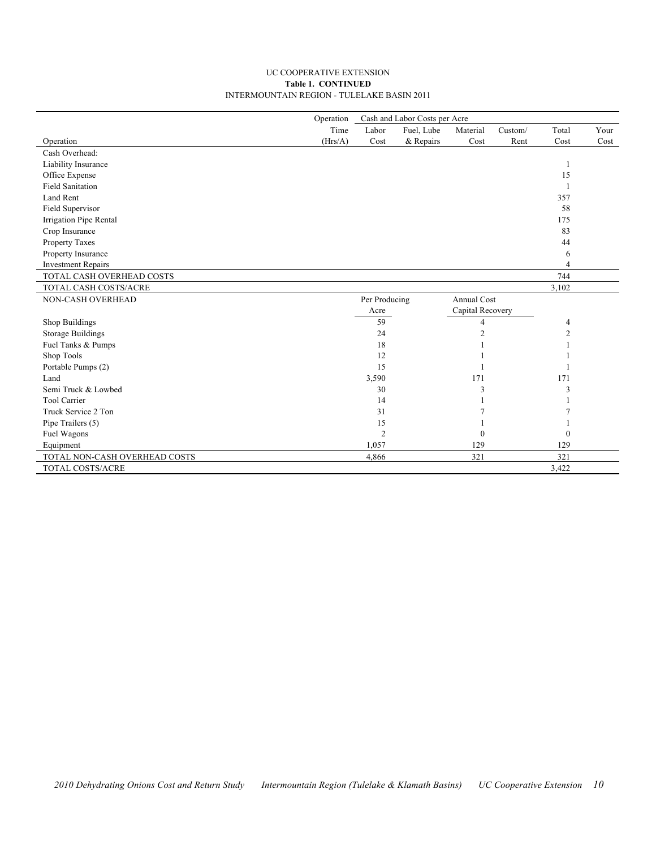#### UC COOPERATIVE EXTENSION **Table 1. CONTINUED** INTERMOUNTAIN REGION - TULELAKE BASIN 2011

|                               | Operation | Cash and Labor Costs per Acre |            |                    |         |                |      |  |
|-------------------------------|-----------|-------------------------------|------------|--------------------|---------|----------------|------|--|
|                               | Time      | Labor                         | Fuel, Lube | Material           | Custom/ | Total          | Your |  |
| Operation                     | (Hrs/A)   | Cost                          | & Repairs  | Cost               | Rent    | Cost           | Cost |  |
| Cash Overhead:                |           |                               |            |                    |         |                |      |  |
| Liability Insurance           |           |                               |            |                    |         |                |      |  |
| Office Expense                |           |                               |            |                    |         | 15             |      |  |
| <b>Field Sanitation</b>       |           |                               |            |                    |         |                |      |  |
| Land Rent                     |           |                               |            |                    |         | 357            |      |  |
| Field Supervisor              |           |                               |            |                    |         | 58             |      |  |
| Irrigation Pipe Rental        |           |                               |            |                    |         | 175            |      |  |
| Crop Insurance                |           |                               |            |                    |         | 83             |      |  |
| Property Taxes                |           |                               |            |                    |         | 44             |      |  |
| Property Insurance            |           |                               |            |                    |         | 6              |      |  |
| <b>Investment Repairs</b>     |           |                               |            |                    |         | $\overline{4}$ |      |  |
| TOTAL CASH OVERHEAD COSTS     |           |                               |            |                    |         | 744            |      |  |
| TOTAL CASH COSTS/ACRE         |           |                               |            |                    |         | 3,102          |      |  |
| NON-CASH OVERHEAD             |           | Per Producing                 |            | <b>Annual Cost</b> |         |                |      |  |
|                               |           | Acre                          |            | Capital Recovery   |         |                |      |  |
| Shop Buildings                |           | 59                            |            | 4                  |         | 4              |      |  |
| <b>Storage Buildings</b>      |           | 24                            |            | $\overline{2}$     |         | $\overline{2}$ |      |  |
| Fuel Tanks & Pumps            |           | 18                            |            |                    |         |                |      |  |
| Shop Tools                    |           | 12                            |            |                    |         |                |      |  |
| Portable Pumps (2)            |           | 15                            |            |                    |         |                |      |  |
| Land                          |           | 3,590                         |            | 171                |         | 171            |      |  |
| Semi Truck & Lowbed           |           | 30                            |            | 3                  |         | 3              |      |  |
| Tool Carrier                  |           | 14                            |            |                    |         |                |      |  |
| Truck Service 2 Ton           |           | 31                            |            |                    |         |                |      |  |
| Pipe Trailers (5)             |           | 15                            |            |                    |         |                |      |  |
| Fuel Wagons                   |           | $\overline{2}$                |            | $\theta$           |         | $\theta$       |      |  |
| Equipment                     |           | 1,057                         |            | 129                |         | 129            |      |  |
| TOTAL NON-CASH OVERHEAD COSTS |           | 4,866                         |            | 321                |         | 321            |      |  |
| TOTAL COSTS/ACRE              |           |                               |            |                    |         | 3,422          |      |  |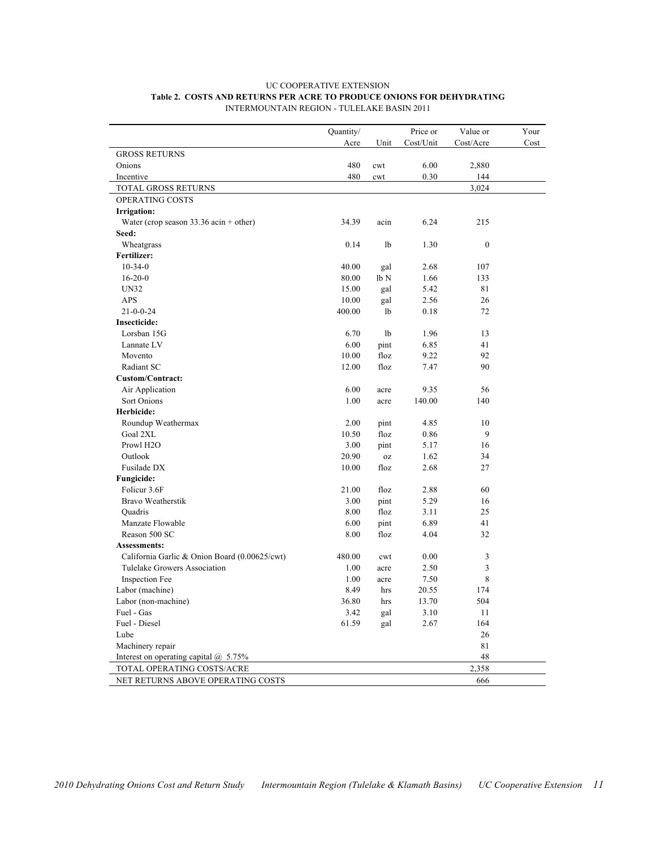|                                               | Quantity/ |                  | Price or  | Value or         | Your |
|-----------------------------------------------|-----------|------------------|-----------|------------------|------|
|                                               | Acre      | Unit             | Cost/Unit | Cost/Acre        | Cost |
| <b>GROSS RETURNS</b>                          |           |                  |           |                  |      |
| Onions                                        | 480       | cwt              | 6.00      | 2,880            |      |
| Incentive                                     | 480       | cwt              | 0.30      | 144              |      |
| TOTAL GROSS RETURNS                           |           |                  |           | 3,024            |      |
| OPERATING COSTS                               |           |                  |           |                  |      |
| Irrigation:                                   |           |                  |           |                  |      |
| Water (crop season $33.36$ acin + other)      | 34.39     | acin             | 6.24      | 215              |      |
| Seed:                                         |           |                  |           |                  |      |
| Wheatgrass                                    | 0.14      | 1b               | 1.30      | $\boldsymbol{0}$ |      |
| Fertilizer:                                   |           |                  |           |                  |      |
| $10 - 34 - 0$                                 | 40.00     | gal              | 2.68      | 107              |      |
| $16 - 20 - 0$                                 | 80.00     | lb N             | 1.66      | 133              |      |
| UN32                                          | 15.00     | gal              | 5.42      | 81               |      |
| APS                                           | 10.00     | gal              | 2.56      | 26               |      |
| $21 - 0 - 0 - 24$                             | 400.00    | 1b               | 0.18      | 72               |      |
| Insecticide:                                  |           |                  |           |                  |      |
| Lorsban 15G                                   | 6.70      | 1b               | 1.96      | 13               |      |
| Lannate LV                                    | 6.00      | pint             | 6.85      | 41               |      |
| Movento                                       | 10.00     | floz             | 9.22      | 92               |      |
| Radiant SC                                    | 12.00     | floz             | 7.47      | 90               |      |
| <b>Custom/Contract:</b>                       |           |                  |           |                  |      |
| Air Application                               | 6.00      | acre             | 9.35      | 56               |      |
| Sort Onions                                   | 1.00      | acre             | 140.00    | 140              |      |
| Herbicide:                                    |           |                  |           |                  |      |
| Roundup Weathermax                            | 2.00      | pint             | 4.85      | 10               |      |
| Goal 2XL                                      | 10.50     | floz             | 0.86      | 9                |      |
| Prowl H <sub>2</sub> O                        | 3.00      | pint             | 5.17      | 16               |      |
| Outlook                                       | 20.90     | $_{\mbox{oz}}$   | 1.62      | 34               |      |
| Fusilade DX                                   | 10.00     | floz             | 2.68      | 27               |      |
| Fungicide:                                    |           |                  |           |                  |      |
| Folicur 3.6F                                  | 21.00     | floz             | 2.88      | 60               |      |
| Bravo Weatherstik                             | 3.00      | pint             | 5.29      | 16               |      |
| Quadris                                       | 8.00      | floz             | 3.11      | 25               |      |
| Manzate Flowable                              | 6.00      | pint             | 6.89      | 41               |      |
| Reason 500 SC                                 | 8.00      | floz             | 4.04      | 32               |      |
| Assessments:                                  |           |                  |           |                  |      |
| California Garlic & Onion Board (0.00625/cwt) | 480.00    | cwt              | 0.00      | 3                |      |
| Tulelake Growers Association                  | 1.00      | acre             | 2.50      | 3                |      |
| Inspection Fee                                | 1.00      | acre             | 7.50      | 8                |      |
| Labor (machine)                               | 8.49      | hrs              | 20.55     | 174              |      |
| Labor (non-machine)                           | 36.80     | $\,\mathrm{hrs}$ | 13.70     | 504              |      |
| Fuel - Gas                                    | 3.42      | gal              | 3.10      | 11               |      |
| Fuel - Diesel                                 | 61.59     | gal              | 2.67      | 164              |      |
| Lube                                          |           |                  |           | $26\,$           |      |
| Machinery repair                              |           |                  |           | 81               |      |
| Interest on operating capital $@$ 5.75%       |           |                  |           | 48               |      |
| TOTAL OPERATING COSTS/ACRE                    |           |                  |           | 2,358            |      |
| NET RETURNS ABOVE OPERATING COSTS             |           |                  |           | 666              |      |

#### UC COOPERATIVE EXTENSION **Table 2. COSTS AND RETURNS PER ACRE TO PRODUCE ONIONS FOR DEHYDRATING** INTERMOUNTAIN REGION - TULELAKE BASIN 2011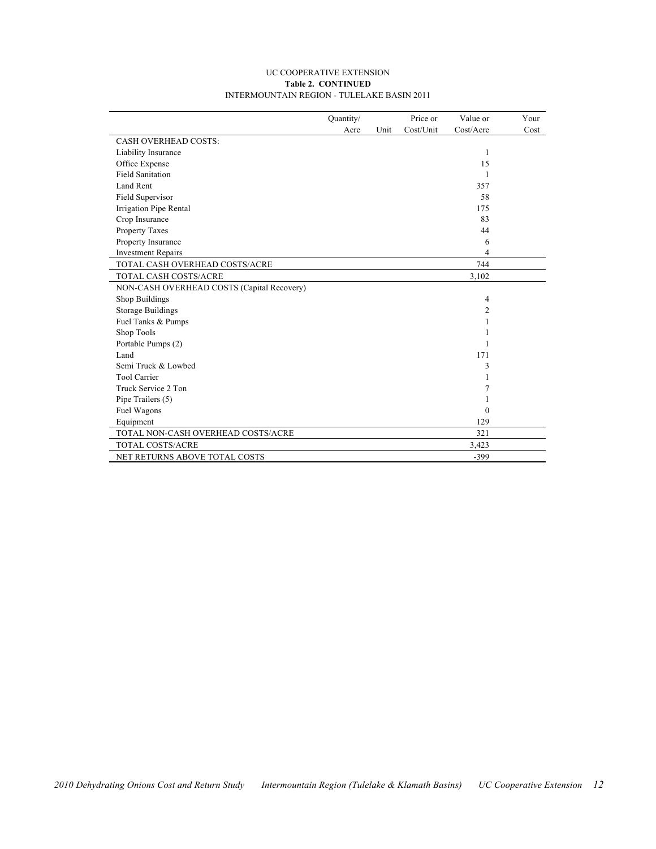#### UC COOPERATIVE EXTENSION **Table 2. CONTINUED** INTERMOUNTAIN REGION - TULELAKE BASIN 2011

|                                            | Quantity/ |      | Price or  | Value or       | Your |
|--------------------------------------------|-----------|------|-----------|----------------|------|
|                                            | Acre      | Unit | Cost/Unit | Cost/Acre      | Cost |
| <b>CASH OVERHEAD COSTS:</b>                |           |      |           |                |      |
| Liability Insurance                        |           |      |           | 1              |      |
| Office Expense                             |           |      |           | 15             |      |
| <b>Field Sanitation</b>                    |           |      |           | 1              |      |
| Land Rent                                  |           |      |           | 357            |      |
| Field Supervisor                           |           |      |           | 58             |      |
| Irrigation Pipe Rental                     |           |      |           | 175            |      |
| Crop Insurance                             |           |      |           | 83             |      |
| Property Taxes                             |           |      |           | 44             |      |
| Property Insurance                         |           |      |           | 6              |      |
| <b>Investment Repairs</b>                  |           |      |           | 4              |      |
| TOTAL CASH OVERHEAD COSTS/ACRE             |           |      |           | 744            |      |
| <b>TOTAL CASH COSTS/ACRE</b>               |           |      |           | 3,102          |      |
| NON-CASH OVERHEAD COSTS (Capital Recovery) |           |      |           |                |      |
| Shop Buildings                             |           |      |           | $\overline{4}$ |      |
| <b>Storage Buildings</b>                   |           |      |           | 2              |      |
| Fuel Tanks & Pumps                         |           |      |           |                |      |
| Shop Tools                                 |           |      |           | 1              |      |
| Portable Pumps (2)                         |           |      |           | 1              |      |
| Land                                       |           |      |           | 171            |      |
| Semi Truck & Lowbed                        |           |      |           | 3              |      |
| <b>Tool Carrier</b>                        |           |      |           | 1              |      |
| Truck Service 2 Ton                        |           |      |           | 7              |      |
| Pipe Trailers (5)                          |           |      |           |                |      |
| Fuel Wagons                                |           |      |           | $\theta$       |      |
| Equipment                                  |           |      |           | 129            |      |
| TOTAL NON-CASH OVERHEAD COSTS/ACRE         |           |      |           | 321            |      |
| TOTAL COSTS/ACRE                           |           |      |           | 3,423          |      |
| NET RETURNS ABOVE TOTAL COSTS              |           |      |           | $-399$         |      |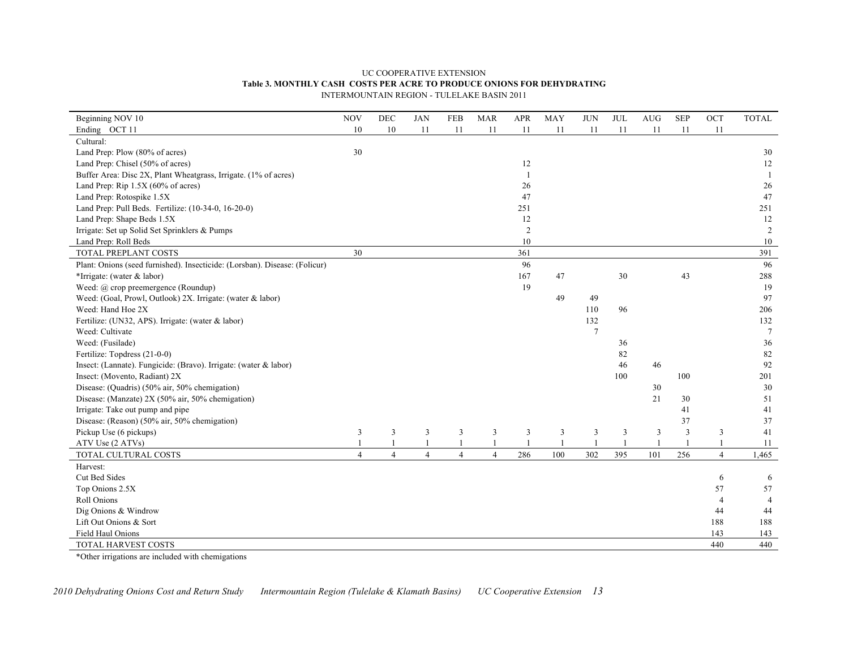#### UC COOPERATIVE EXTENSION **Table 3. MONTHLY CASH COSTS PER ACRE TO PRODUCE ONIONS FOR DEHYDRATING** INTERMOUNTAIN REGION - TULELAKE BASIN 2011

| Beginning NOV 10                                                           | <b>NOV</b>     | DEC                     | $_{\rm JAN}$   | FEB            | <b>MAR</b>     | APR        | MAY | <b>JUN</b>     | $\rm JUL$ | <b>AUG</b> | <b>SEP</b>              | OCT            | <b>TOTAL</b>    |
|----------------------------------------------------------------------------|----------------|-------------------------|----------------|----------------|----------------|------------|-----|----------------|-----------|------------|-------------------------|----------------|-----------------|
| Ending OCT 11                                                              | 10             | 10                      | 11             | 11             | 11             | 11         | 11  | 11             | 11        | 11         | 11                      | 11             |                 |
| Cultural:                                                                  |                |                         |                |                |                |            |     |                |           |            |                         |                |                 |
| Land Prep: Plow (80% of acres)                                             | 30             |                         |                |                |                |            |     |                |           |            |                         |                | 30              |
| Land Prep: Chisel (50% of acres)                                           |                |                         |                |                |                | 12         |     |                |           |            |                         |                | 12              |
| Buffer Area: Disc 2X, Plant Wheatgrass, Irrigate. (1% of acres)            |                |                         |                |                |                |            |     |                |           |            |                         |                | $\overline{1}$  |
| Land Prep: Rip $1.5X$ (60% of acres)                                       |                |                         |                |                |                | 26         |     |                |           |            |                         |                | 26              |
| Land Prep: Rotospike 1.5X                                                  |                |                         |                |                |                | 47         |     |                |           |            |                         |                | 47              |
| Land Prep: Pull Beds. Fertilize: (10-34-0, 16-20-0)                        |                |                         |                |                |                | 251        |     |                |           |            |                         |                | 251             |
| Land Prep: Shape Beds 1.5X                                                 |                |                         |                |                |                | 12         |     |                |           |            |                         |                | 12              |
| Irrigate: Set up Solid Set Sprinklers & Pumps                              |                |                         |                |                |                | $\sqrt{2}$ |     |                |           |            |                         |                | 2               |
| Land Prep: Roll Beds                                                       |                |                         |                |                |                | 10         |     |                |           |            |                         |                | 10              |
| TOTAL PREPLANT COSTS                                                       | 30             |                         |                |                |                | 361        |     |                |           |            |                         |                | 391             |
| Plant: Onions (seed furnished). Insecticide: (Lorsban). Disease: (Folicur) |                |                         |                |                |                | 96         |     |                |           |            |                         |                | 96              |
| *Irrigate: (water & labor)                                                 |                |                         |                |                |                | 167        | 47  |                | 30        |            | 43                      |                | 288             |
| Weed: @ crop preemergence (Roundup)                                        |                |                         |                |                |                | 19         |     |                |           |            |                         |                | 19              |
| Weed: (Goal, Prowl, Outlook) 2X. Irrigate: (water & labor)                 |                |                         |                |                |                |            | 49  | 49             |           |            |                         |                | 97              |
| Weed: Hand Hoe 2X                                                          |                |                         |                |                |                |            |     | 110            | 96        |            |                         |                | 206             |
| Fertilize: (UN32, APS). Irrigate: (water & labor)                          |                |                         |                |                |                |            |     | 132            |           |            |                         |                | 132             |
| Weed: Cultivate                                                            |                |                         |                |                |                |            |     | $\overline{7}$ |           |            |                         |                | $7\phantom{.0}$ |
| Weed: (Fusilade)                                                           |                |                         |                |                |                |            |     |                | 36        |            |                         |                | 36              |
| Fertilize: Topdress (21-0-0)                                               |                |                         |                |                |                |            |     |                | 82        |            |                         |                | $82\,$          |
| Insect: (Lannate). Fungicide: (Bravo). Irrigate: (water & labor)           |                |                         |                |                |                |            |     |                | 46        | 46         |                         |                | 92              |
| Insect: (Movento, Radiant) 2X                                              |                |                         |                |                |                |            |     |                | 100       |            | 100                     |                | 201             |
| Disease: (Quadris) (50% air, 50% chemigation)                              |                |                         |                |                |                |            |     |                |           | 30         |                         |                | 30              |
| Disease: (Manzate) 2X (50% air, 50% chemigation)                           |                |                         |                |                |                |            |     |                |           | 21         | 30                      |                | 51              |
| Irrigate: Take out pump and pipe                                           |                |                         |                |                |                |            |     |                |           |            | 41                      |                | 41              |
| Disease: (Reason) (50% air, 50% chemigation)                               |                |                         |                |                |                |            |     |                |           |            | 37                      |                | 37              |
| Pickup Use (6 pickups)                                                     | 3              | $\overline{\mathbf{3}}$ | 3              | 3              | 3              | 3          | 3   | 3              | 3         | 3          | $\overline{\mathbf{3}}$ | 3              | 41              |
| ATV Use (2 ATVs)                                                           |                | $\mathbf{1}$            |                | 1              |                |            |     |                |           |            |                         |                | 11              |
| TOTAL CULTURAL COSTS                                                       | $\overline{4}$ | $\overline{4}$          | $\overline{4}$ | $\overline{4}$ | $\overline{4}$ | 286        | 100 | 302            | 395       | 101        | 256                     | $\overline{4}$ | 1,465           |
| Harvest:                                                                   |                |                         |                |                |                |            |     |                |           |            |                         |                |                 |
| Cut Bed Sides                                                              |                |                         |                |                |                |            |     |                |           |            |                         | 6              | 6               |
| Top Onions 2.5X                                                            |                |                         |                |                |                |            |     |                |           |            |                         | 57             | 57              |
| Roll Onions                                                                |                |                         |                |                |                |            |     |                |           |            |                         | $\overline{4}$ |                 |
| Dig Onions & Windrow                                                       |                |                         |                |                |                |            |     |                |           |            |                         | 44             | 44              |
| Lift Out Onions & Sort                                                     |                |                         |                |                |                |            |     |                |           |            |                         | 188            | 188             |
| Field Haul Onions                                                          |                |                         |                |                |                |            |     |                |           |            |                         | 143            | 143             |
| TOTAL HARVEST COSTS                                                        |                |                         |                |                |                |            |     |                |           |            |                         | 440            | 440             |

\*Other irrigations are included with chemigations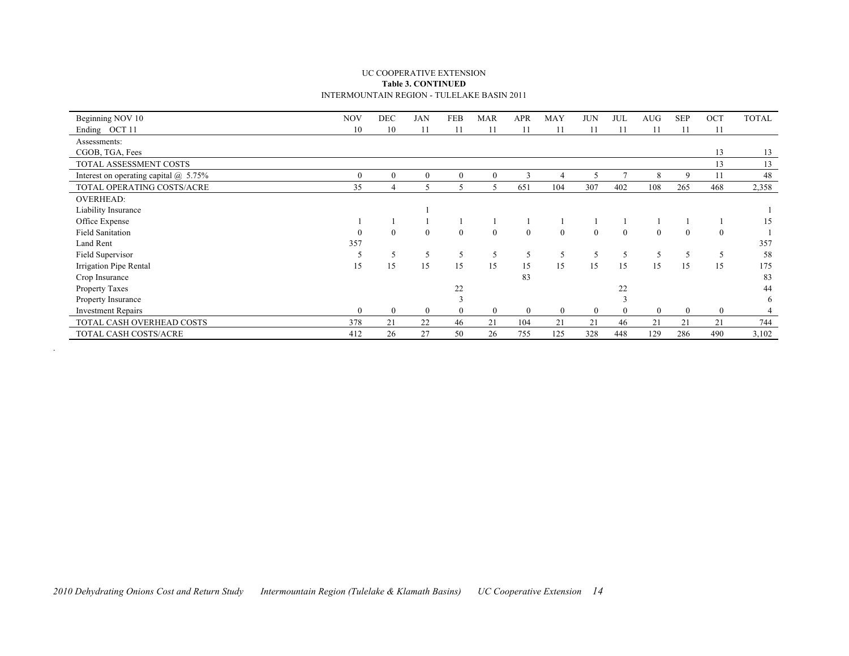#### UC COOPERATIVE EXTENSION **Table 3. CONTINUED** INTERMOUNTAIN REGION - TULELAKE BASIN 2011

| Beginning NOV 10                             | <b>NOV</b>     | DEC              | <b>JAN</b>     | <b>FEB</b>               | <b>MAR</b>     | <b>APR</b>       | MAY          | <b>JUN</b>     | JUL          | <b>AUG</b>   | <b>SEP</b>     | OCT            | <b>TOTAL</b> |
|----------------------------------------------|----------------|------------------|----------------|--------------------------|----------------|------------------|--------------|----------------|--------------|--------------|----------------|----------------|--------------|
| Ending OCT 11                                | 10             | 10               |                | 11                       | 11             | 11               | 11           | 11             | 11           | 11           | 11             | 11             |              |
| Assessments:                                 |                |                  |                |                          |                |                  |              |                |              |              |                |                |              |
| CGOB, TGA, Fees                              |                |                  |                |                          |                |                  |              |                |              |              |                | 13             | 13           |
| TOTAL ASSESSMENT COSTS                       |                |                  |                |                          |                |                  |              |                |              |              |                | 13             | 13           |
| Interest on operating capital $\omega$ 5.75% | $\overline{0}$ | $\overline{0}$   | $\theta$       | $\mathbf{0}$             | $\theta$       | 3                | 4            |                |              | 8            | 9              | 11             | 48           |
| TOTAL OPERATING COSTS/ACRE                   | 35             | 4                | 5              | $\overline{\phantom{0}}$ | 5              | 651              | 104          | 307            | 402          | 108          | 265            | 468            | 2,358        |
| <b>OVERHEAD:</b>                             |                |                  |                |                          |                |                  |              |                |              |              |                |                |              |
| Liability Insurance                          |                |                  |                |                          |                |                  |              |                |              |              |                |                |              |
| Office Expense                               |                |                  |                |                          |                |                  |              |                |              |              |                |                | 15           |
| <b>Field Sanitation</b>                      |                | $\overline{0}$   | $\mathbf{0}$   | $\mathbf{0}$             | $\mathbf{0}$   | $\boldsymbol{0}$ | $\mathbf{0}$ | $\mathbf{0}$   | $\mathbf{0}$ | $\mathbf{0}$ | $\mathbf{0}$   | $\theta$       |              |
| Land Rent                                    | 357            |                  |                |                          |                |                  |              |                |              |              |                |                | 357          |
| Field Supervisor                             |                | 5                | 5              | 5                        | 5              | 5                | 5            |                | 5            | 5            | 5              | 5              | 58           |
| Irrigation Pipe Rental                       | 15             | 15               | 15             | 15                       | 15             | 15               | 15           | 15             | 15           | 15           | 15             | 15             | 175          |
| Crop Insurance                               |                |                  |                |                          |                | 83               |              |                |              |              |                |                | 83           |
| Property Taxes                               |                |                  |                | 22                       |                |                  |              |                | 22           |              |                |                | 44           |
| Property Insurance                           |                |                  |                |                          |                |                  |              |                |              |              |                |                | 6            |
| <b>Investment Repairs</b>                    | $\overline{0}$ | $\boldsymbol{0}$ | $\overline{0}$ |                          | $\overline{0}$ | $\overline{0}$   | $\mathbf{0}$ | $\overline{0}$ | $\theta$     | $\mathbf{0}$ | $\overline{0}$ | $\overline{0}$ |              |
| TOTAL CASH OVERHEAD COSTS                    | 378            | 21               | 22             | 46                       | 21             | 104              | 21           | 21             | 46           | 21           | 21             | 21             | 744          |
| TOTAL CASH COSTS/ACRE                        | 412            | 26               | 27             | 50                       | 26             | 755              | 125          | 328            | 448          | 129          | 286            | 490            | 3,102        |

.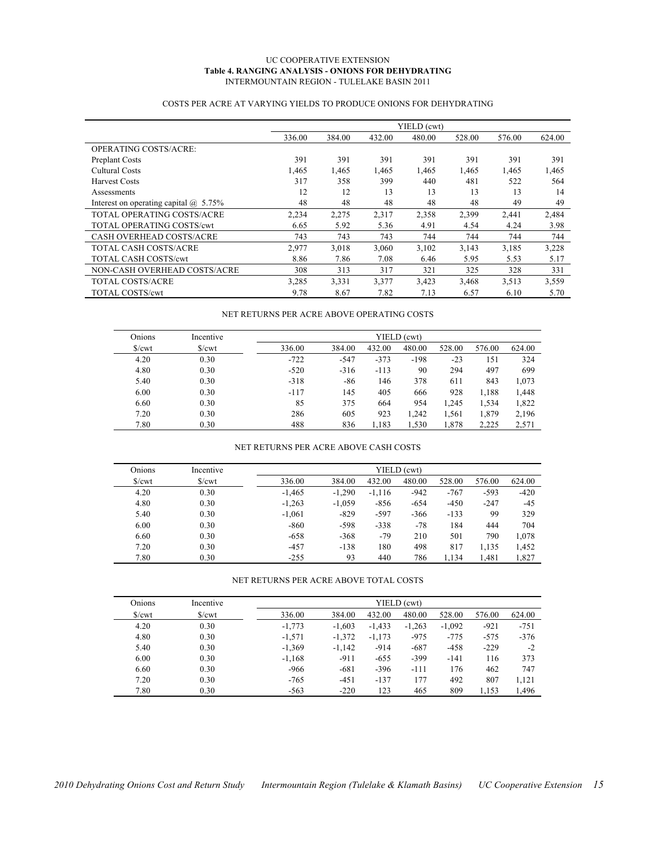#### UC COOPERATIVE EXTENSION **Table 4. RANGING ANALYSIS - ONIONS FOR DEHYDRATING** INTERMOUNTAIN REGION - TULELAKE BASIN 2011

#### COSTS PER ACRE AT VARYING YIELDS TO PRODUCE ONIONS FOR DEHYDRATING

|                                              |        |        |        | YIELD (cwt) |        |        |        |
|----------------------------------------------|--------|--------|--------|-------------|--------|--------|--------|
|                                              | 336.00 | 384.00 | 432.00 | 480.00      | 528.00 | 576.00 | 624.00 |
| <b>OPERATING COSTS/ACRE:</b>                 |        |        |        |             |        |        |        |
| Preplant Costs                               | 391    | 391    | 391    | 391         | 391    | 391    | 391    |
| Cultural Costs                               | 1,465  | 1,465  | 1,465  | 1,465       | 1,465  | 1,465  | 1,465  |
| <b>Harvest Costs</b>                         | 317    | 358    | 399    | 440         | 481    | 522    | 564    |
| Assessments                                  | 12     | 12     | 13     | 13          | 13     | 13     | 14     |
| Interest on operating capital $\omega$ 5.75% | 48     | 48     | 48     | 48          | 48     | 49     | 49     |
| TOTAL OPERATING COSTS/ACRE                   | 2,234  | 2,275  | 2,317  | 2,358       | 2,399  | 2,441  | 2,484  |
| <b>TOTAL OPERATING COSTS/cwt</b>             | 6.65   | 5.92   | 5.36   | 4.91        | 4.54   | 4.24   | 3.98   |
| <b>CASH OVERHEAD COSTS/ACRE</b>              | 743    | 743    | 743    | 744         | 744    | 744    | 744    |
| TOTAL CASH COSTS/ACRE                        | 2,977  | 3,018  | 3,060  | 3,102       | 3,143  | 3,185  | 3,228  |
| <b>TOTAL CASH COSTS/cwt</b>                  | 8.86   | 7.86   | 7.08   | 6.46        | 5.95   | 5.53   | 5.17   |
| NON-CASH OVERHEAD COSTS/ACRE                 | 308    | 313    | 317    | 321         | 325    | 328    | 331    |
| <b>TOTAL COSTS/ACRE</b>                      | 3,285  | 3,331  | 3,377  | 3,423       | 3,468  | 3,513  | 3,559  |
| <b>TOTAL COSTS/cwt</b>                       | 9.78   | 8.67   | 7.82   | 7.13        | 6.57   | 6.10   | 5.70   |

#### NET RETURNS PER ACRE ABOVE OPERATING COSTS

| Onions     | Incentive       |        | YIELD (cwt) |        |        |        |        |        |  |  |  |  |
|------------|-----------------|--------|-------------|--------|--------|--------|--------|--------|--|--|--|--|
| $\sqrt{\}$ | $\sqrt{\}$ /cwt | 336.00 | 384.00      | 432.00 | 480.00 | 528.00 | 576.00 | 624.00 |  |  |  |  |
| 4.20       | 0.30            | $-722$ | $-547$      | $-373$ | $-198$ | $-23$  | 151    | 324    |  |  |  |  |
| 4.80       | 0.30            | $-520$ | $-316$      | $-113$ | 90     | 294    | 497    | 699    |  |  |  |  |
| 5.40       | 0.30            | $-318$ | -86         | 146    | 378    | 611    | 843    | 1,073  |  |  |  |  |
| 6.00       | 0.30            | $-117$ | 145         | 405    | 666    | 928    | 1,188  | 1,448  |  |  |  |  |
| 6.60       | 0.30            | 85     | 375         | 664    | 954    | 1,245  | 1,534  | 1,822  |  |  |  |  |
| 7.20       | 0.30            | 286    | 605         | 923    | 1.242  | 1,561  | 1,879  | 2,196  |  |  |  |  |
| 7.80       | 0.30            | 488    | 836         | 1.183  | 1,530  | 1,878  | 2,225  | 2,571  |  |  |  |  |

#### NET RETURNS PER ACRE ABOVE CASH COSTS

| Onions            | Incentive           | YIELD (cwt) |          |          |        |        |        |        |  |
|-------------------|---------------------|-------------|----------|----------|--------|--------|--------|--------|--|
| $\sqrt{\text{c}}$ | $\sqrt{\text{cwt}}$ | 336.00      | 384.00   | 432.00   | 480.00 | 528.00 | 576.00 | 624.00 |  |
| 4.20              | 0.30                | $-1,465$    | $-1.290$ | $-1,116$ | $-942$ | $-767$ | $-593$ | $-420$ |  |
| 4.80              | 0.30                | $-1,263$    | $-1,059$ | $-856$   | $-654$ | $-450$ | $-247$ | $-45$  |  |
| 5.40              | 0.30                | $-1,061$    | $-829$   | $-597$   | $-366$ | $-133$ | 99     | 329    |  |
| 6.00              | 0.30                | $-860$      | $-598$   | $-338$   | $-78$  | 184    | 444    | 704    |  |
| 6.60              | 0.30                | $-658$      | $-368$   | $-79$    | 210    | 501    | 790    | 1,078  |  |
| 7.20              | 0.30                | $-457$      | $-138$   | 180      | 498    | 817    | 1,135  | 1,452  |  |
| 7.80              | 0.30                | $-255$      | 93       | 440      | 786    | 1.134  | 1.481  | 1,827  |  |

NET RETURNS PER ACRE ABOVE TOTAL COSTS

| Onions | Incentive           |          | YIELD (cwt) |          |          |          |        |        |  |  |
|--------|---------------------|----------|-------------|----------|----------|----------|--------|--------|--|--|
| S/cwt  | $\sqrt{\text{cwt}}$ | 336.00   | 384.00      | 432.00   | 480.00   | 528.00   | 576.00 | 624.00 |  |  |
| 4.20   | 0.30                | $-1.773$ | $-1.603$    | $-1.433$ | $-1.263$ | $-1.092$ | $-921$ | $-751$ |  |  |
| 4.80   | 0.30                | $-1,571$ | $-1,372$    | $-1,173$ | $-975$   | $-775$   | $-575$ | $-376$ |  |  |
| 5.40   | 0.30                | $-1,369$ | $-1,142$    | $-914$   | $-687$   | $-458$   | $-229$ | $-2$   |  |  |
| 6.00   | 0.30                | $-1.168$ | $-911$      | $-655$   | $-399$   | $-141$   | 116    | 373    |  |  |
| 6.60   | 0.30                | $-966$   | $-681$      | $-396$   | $-111$   | 176      | 462    | 747    |  |  |
| 7.20   | 0.30                | $-765$   | $-451$      | $-137$   | 177      | 492      | 807    | 1,121  |  |  |
| 7.80   | 0.30                | $-563$   | $-220$      | 123      | 465      | 809      | 1.153  | 1,496  |  |  |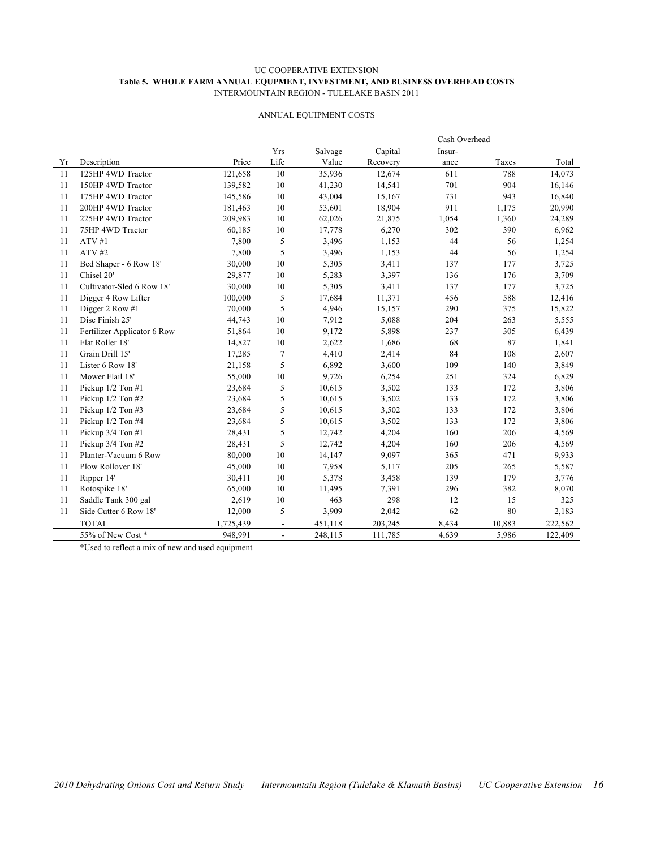#### UC COOPERATIVE EXTENSION **Table 5. WHOLE FARM ANNUAL EQUPMENT, INVESTMENT, AND BUSINESS OVERHEAD COSTS** INTERMOUNTAIN REGION - TULELAKE BASIN 2011

|    |                             |           |                          |         |          | Cash Overhead |        |         |
|----|-----------------------------|-----------|--------------------------|---------|----------|---------------|--------|---------|
|    |                             |           | Yrs                      | Salvage | Capital  | Insur-        |        |         |
| Yr | Description                 | Price     | Life                     | Value   | Recovery | ance          | Taxes  | Total   |
| 11 | 125HP 4WD Tractor           | 121,658   | $10\,$                   | 35,936  | 12,674   | 611           | 788    | 14,073  |
| 11 | 150HP 4WD Tractor           | 139,582   | 10                       | 41,230  | 14,541   | 701           | 904    | 16,146  |
| 11 | 175HP 4WD Tractor           | 145,586   | 10                       | 43,004  | 15,167   | 731           | 943    | 16,840  |
| 11 | 200HP 4WD Tractor           | 181,463   | 10                       | 53,601  | 18,904   | 911           | 1,175  | 20,990  |
| 11 | 225HP 4WD Tractor           | 209,983   | 10                       | 62,026  | 21,875   | 1,054         | 1,360  | 24,289  |
| 11 | 75HP 4WD Tractor            | 60,185    | 10                       | 17,778  | 6,270    | 302           | 390    | 6,962   |
| 11 | ATV#1                       | 7,800     | 5                        | 3,496   | 1,153    | 44            | 56     | 1,254   |
| 11 | ATV#2                       | 7,800     | 5                        | 3,496   | 1,153    | 44            | 56     | 1,254   |
| 11 | Bed Shaper - 6 Row 18'      | 30,000    | $10\,$                   | 5,305   | 3,411    | 137           | 177    | 3,725   |
| 11 | Chisel 20'                  | 29,877    | $10\,$                   | 5,283   | 3,397    | 136           | 176    | 3,709   |
| 11 | Cultivator-Sled 6 Row 18'   | 30,000    | $10\,$                   | 5,305   | 3,411    | 137           | 177    | 3,725   |
| 11 | Digger 4 Row Lifter         | 100,000   | 5                        | 17,684  | 11,371   | 456           | 588    | 12,416  |
| 11 | Digger 2 Row #1             | 70,000    | 5                        | 4,946   | 15,157   | 290           | 375    | 15,822  |
| 11 | Disc Finish 25'             | 44,743    | 10                       | 7,912   | 5,088    | 204           | 263    | 5,555   |
| 11 | Fertilizer Applicator 6 Row | 51,864    | 10                       | 9,172   | 5,898    | 237           | 305    | 6,439   |
| 11 | Flat Roller 18'             | 14,827    | $10\,$                   | 2,622   | 1,686    | 68            | 87     | 1,841   |
| 11 | Grain Drill 15'             | 17,285    | $\tau$                   | 4,410   | 2,414    | 84            | 108    | 2,607   |
| 11 | Lister 6 Row 18'            | 21,158    | 5                        | 6,892   | 3,600    | 109           | 140    | 3,849   |
| 11 | Mower Flail 18'             | 55,000    | $10\,$                   | 9,726   | 6,254    | 251           | 324    | 6,829   |
| 11 | Pickup 1/2 Ton #1           | 23,684    | 5                        | 10,615  | 3,502    | 133           | 172    | 3,806   |
| 11 | Pickup 1/2 Ton #2           | 23,684    | 5                        | 10,615  | 3,502    | 133           | 172    | 3,806   |
| 11 | Pickup 1/2 Ton #3           | 23,684    | 5                        | 10,615  | 3,502    | 133           | 172    | 3,806   |
| 11 | Pickup 1/2 Ton #4           | 23,684    | 5                        | 10,615  | 3,502    | 133           | 172    | 3,806   |
| 11 | Pickup 3/4 Ton #1           | 28,431    | 5                        | 12,742  | 4,204    | 160           | 206    | 4,569   |
| 11 | Pickup 3/4 Ton #2           | 28,431    | 5                        | 12,742  | 4,204    | 160           | 206    | 4,569   |
| 11 | Planter-Vacuum 6 Row        | 80,000    | 10                       | 14,147  | 9,097    | 365           | 471    | 9,933   |
| 11 | Plow Rollover 18'           | 45,000    | 10                       | 7,958   | 5,117    | 205           | 265    | 5,587   |
| 11 | Ripper 14'                  | 30,411    | $10\,$                   | 5,378   | 3,458    | 139           | 179    | 3,776   |
| 11 | Rotospike 18'               | 65,000    | $10\,$                   | 11,495  | 7,391    | 296           | 382    | 8,070   |
| 11 | Saddle Tank 300 gal         | 2,619     | $10\,$                   | 463     | 298      | 12            | 15     | 325     |
| 11 | Side Cutter 6 Row 18'       | 12,000    | 5                        | 3,909   | 2,042    | 62            | 80     | 2,183   |
|    | <b>TOTAL</b>                | 1,725,439 | $\overline{\phantom{a}}$ | 451,118 | 203,245  | 8,434         | 10,883 | 222,562 |
|    | 55% of New Cost*            | 948,991   | $\blacksquare$           | 248,115 | 111,785  | 4,639         | 5,986  | 122,409 |

#### ANNUAL EQUIPMENT COSTS

\*Used to reflect a mix of new and used equipment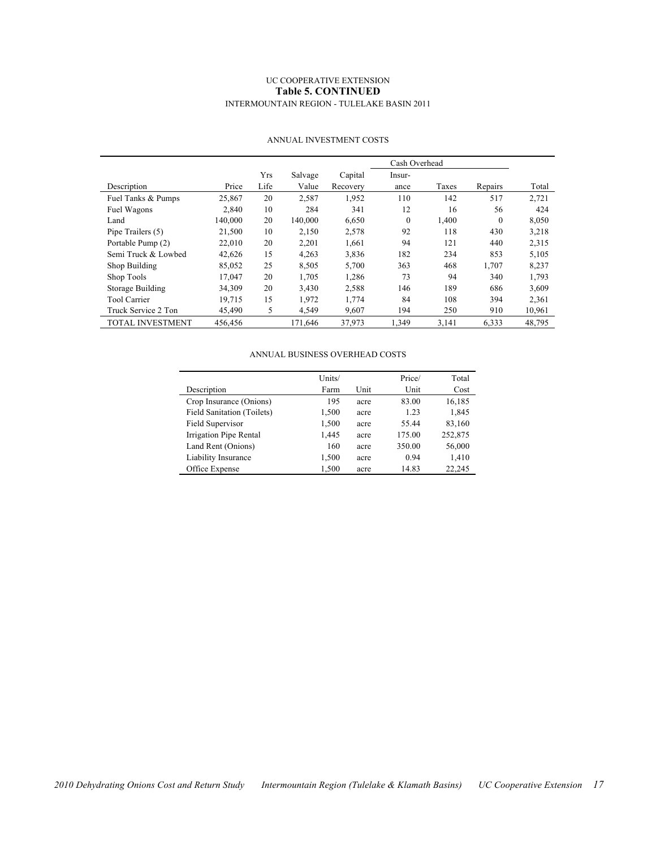#### UC COOPERATIVE EXTENSION **Table 5. CONTINUED** INTERMOUNTAIN REGION - TULELAKE BASIN 2011

|                         |         |      |         |          | Cash Overhead |       |          |        |
|-------------------------|---------|------|---------|----------|---------------|-------|----------|--------|
|                         |         | Yrs  | Salvage | Capital  | Insur-        |       |          |        |
| Description             | Price   | Life | Value   | Recovery | ance          | Taxes | Repairs  | Total  |
| Fuel Tanks & Pumps      | 25,867  | 20   | 2,587   | 1,952    | 110           | 142   | 517      | 2,721  |
| Fuel Wagons             | 2.840   | 10   | 284     | 341      | 12            | 16    | 56       | 424    |
| Land                    | 140,000 | 20   | 140,000 | 6,650    | $\mathbf{0}$  | 1,400 | $\theta$ | 8,050  |
| Pipe Trailers (5)       | 21,500  | 10   | 2,150   | 2,578    | 92            | 118   | 430      | 3,218  |
| Portable Pump (2)       | 22,010  | 20   | 2,201   | 1,661    | 94            | 121   | 440      | 2,315  |
| Semi Truck & Lowbed     | 42,626  | 15   | 4,263   | 3,836    | 182           | 234   | 853      | 5,105  |
| Shop Building           | 85,052  | 25   | 8.505   | 5.700    | 363           | 468   | 1,707    | 8,237  |
| Shop Tools              | 17,047  | 20   | 1,705   | 1,286    | 73            | 94    | 340      | 1,793  |
| Storage Building        | 34,309  | 20   | 3,430   | 2,588    | 146           | 189   | 686      | 3,609  |
| <b>Tool Carrier</b>     | 19.715  | 15   | 1,972   | 1,774    | 84            | 108   | 394      | 2,361  |
| Truck Service 2 Ton     | 45,490  | 5    | 4,549   | 9,607    | 194           | 250   | 910      | 10,961 |
| <b>TOTAL INVESTMENT</b> | 456.456 |      | 171.646 | 37,973   | 1,349         | 3,141 | 6,333    | 48,795 |

#### ANNUAL INVESTMENT COSTS

#### ANNUAL BUSINESS OVERHEAD COSTS

|                                   | Units/ |      | Price/ | Total   |
|-----------------------------------|--------|------|--------|---------|
| Description                       | Farm   | Unit | Unit   | Cost    |
| Crop Insurance (Onions)           | 195    | acre | 83.00  | 16,185  |
| <b>Field Sanitation (Toilets)</b> | 1,500  | acre | 1.23   | 1,845   |
| Field Supervisor                  | 1,500  | acre | 55.44  | 83,160  |
| Irrigation Pipe Rental            | 1,445  | acre | 175.00 | 252,875 |
| Land Rent (Onions)                | 160    | acre | 350.00 | 56,000  |
| Liability Insurance               | 1,500  | acre | 0.94   | 1,410   |
| Office Expense                    | 1,500  | acre | 14.83  | 22.245  |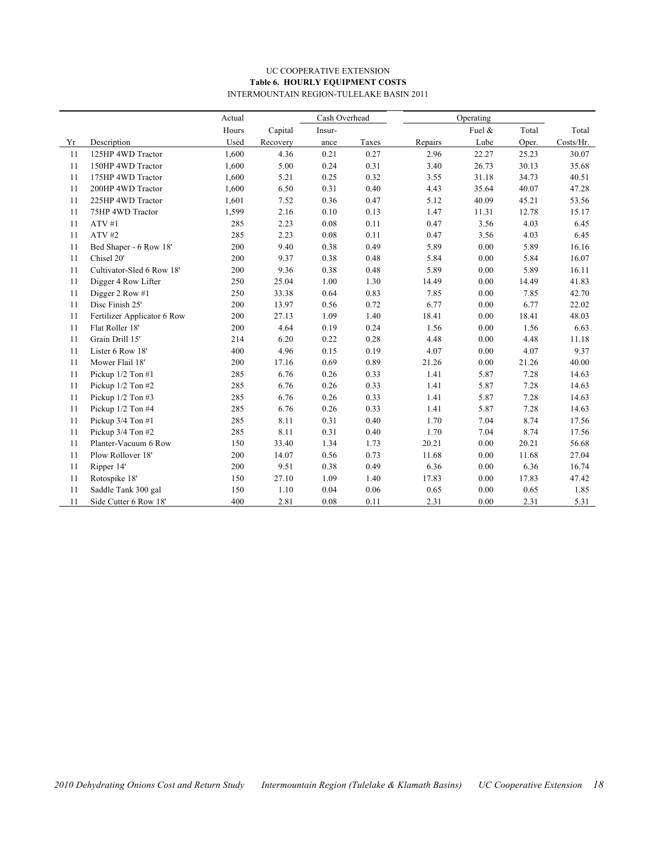#### UC COOPERATIVE EXTENSION **Table 6. HOURLY EQUIPMENT COSTS** INTERMOUNTAIN REGION-TULELAKE BASIN 2011

|    |                             | Actual |          | Cash Overhead |       |         | Operating |       |           |
|----|-----------------------------|--------|----------|---------------|-------|---------|-----------|-------|-----------|
|    |                             | Hours  | Capital  | Insur-        |       |         | Fuel &    | Total | Total     |
| Yr | Description                 | Used   | Recovery | ance          | Taxes | Repairs | Lube      | Oper. | Costs/Hr. |
| 11 | 125HP 4WD Tractor           | 1,600  | 4.36     | 0.21          | 0.27  | 2.96    | 22.27     | 25.23 | 30.07     |
| 11 | 150HP 4WD Tractor           | 1,600  | 5.00     | 0.24          | 0.31  | 3.40    | 26.73     | 30.13 | 35.68     |
| 11 | 175HP 4WD Tractor           | 1,600  | 5.21     | 0.25          | 0.32  | 3.55    | 31.18     | 34.73 | 40.51     |
| 11 | 200HP 4WD Tractor           | 1,600  | 6.50     | 0.31          | 0.40  | 4.43    | 35.64     | 40.07 | 47.28     |
| 11 | 225HP 4WD Tractor           | 1,601  | 7.52     | 0.36          | 0.47  | 5.12    | 40.09     | 45.21 | 53.56     |
| 11 | 75HP 4WD Tractor            | 1,599  | 2.16     | 0.10          | 0.13  | 1.47    | 11.31     | 12.78 | 15.17     |
| 11 | ATV#1                       | 285    | 2.23     | 0.08          | 0.11  | 0.47    | 3.56      | 4.03  | 6.45      |
| 11 | ATV#2                       | 285    | 2.23     | 0.08          | 0.11  | 0.47    | 3.56      | 4.03  | 6.45      |
| 11 | Bed Shaper - 6 Row 18'      | 200    | 9.40     | 0.38          | 0.49  | 5.89    | 0.00      | 5.89  | 16.16     |
| 11 | Chisel 20'                  | 200    | 9.37     | 0.38          | 0.48  | 5.84    | 0.00      | 5.84  | 16.07     |
| 11 | Cultivator-Sled 6 Row 18'   | 200    | 9.36     | 0.38          | 0.48  | 5.89    | 0.00      | 5.89  | 16.11     |
| 11 | Digger 4 Row Lifter         | 250    | 25.04    | 1.00          | 1.30  | 14.49   | 0.00      | 14.49 | 41.83     |
| 11 | Digger 2 Row #1             | 250    | 33.38    | 0.64          | 0.83  | 7.85    | 0.00      | 7.85  | 42.70     |
| 11 | Disc Finish 25'             | 200    | 13.97    | 0.56          | 0.72  | 6.77    | $0.00\,$  | 6.77  | 22.02     |
| 11 | Fertilizer Applicator 6 Row | 200    | 27.13    | 1.09          | 1.40  | 18.41   | 0.00      | 18.41 | 48.03     |
| 11 | Flat Roller 18'             | 200    | 4.64     | 0.19          | 0.24  | 1.56    | 0.00      | 1.56  | 6.63      |
| 11 | Grain Drill 15'             | 214    | 6.20     | 0.22          | 0.28  | 4.48    | 0.00      | 4.48  | 11.18     |
| 11 | Lister 6 Row 18'            | 400    | 4.96     | 0.15          | 0.19  | 4.07    | 0.00      | 4.07  | 9.37      |
| 11 | Mower Flail 18'             | 200    | 17.16    | 0.69          | 0.89  | 21.26   | 0.00      | 21.26 | 40.00     |
| 11 | Pickup 1/2 Ton #1           | 285    | 6.76     | 0.26          | 0.33  | 1.41    | 5.87      | 7.28  | 14.63     |
| 11 | Pickup 1/2 Ton #2           | 285    | 6.76     | 0.26          | 0.33  | 1.41    | 5.87      | 7.28  | 14.63     |
| 11 | Pickup 1/2 Ton #3           | 285    | 6.76     | 0.26          | 0.33  | 1.41    | 5.87      | 7.28  | 14.63     |
| 11 | Pickup 1/2 Ton #4           | 285    | 6.76     | 0.26          | 0.33  | 1.41    | 5.87      | 7.28  | 14.63     |
| 11 | Pickup 3/4 Ton #1           | 285    | 8.11     | 0.31          | 0.40  | 1.70    | 7.04      | 8.74  | 17.56     |
| 11 | Pickup 3/4 Ton #2           | 285    | 8.11     | 0.31          | 0.40  | 1.70    | 7.04      | 8.74  | 17.56     |
| 11 | Planter-Vacuum 6 Row        | 150    | 33.40    | 1.34          | 1.73  | 20.21   | 0.00      | 20.21 | 56.68     |
| 11 | Plow Rollover 18'           | 200    | 14.07    | 0.56          | 0.73  | 11.68   | 0.00      | 11.68 | 27.04     |
| 11 | Ripper 14'                  | 200    | 9.51     | 0.38          | 0.49  | 6.36    | 0.00      | 6.36  | 16.74     |
| 11 | Rotospike 18'               | 150    | 27.10    | 1.09          | 1.40  | 17.83   | 0.00      | 17.83 | 47.42     |
| 11 | Saddle Tank 300 gal         | 150    | 1.10     | 0.04          | 0.06  | 0.65    | 0.00      | 0.65  | 1.85      |
| 11 | Side Cutter 6 Row 18'       | 400    | 2.81     | 0.08          | 0.11  | 2.31    | 0.00      | 2.31  | 5.31      |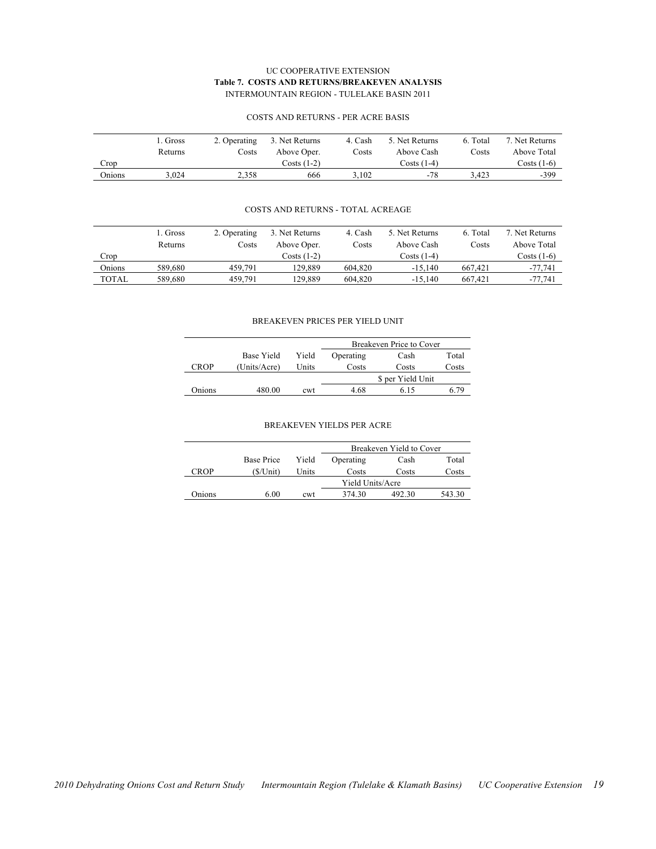#### UC COOPERATIVE EXTENSION **Table 7. COSTS AND RETURNS/BREAKEVEN ANALYSIS** INTERMOUNTAIN REGION - TULELAKE BASIN 2011

|        | 1. Gross | 2. Operating | 3. Net Returns | 4. Cash | 5. Net Returns | 6. Total | 7. Net Returns |
|--------|----------|--------------|----------------|---------|----------------|----------|----------------|
|        | Returns  | Costs        | Above Oper.    | Costs   | Above Cash     | Costs    | Above Total    |
| Crop   |          |              | Costs (1-2)    |         | $Costs(1-4)$   |          | Costs (1-6)    |
| Onions | 3.024    | 2.358        | 666            | 3.102   | -78            | 3.423    | $-399$         |

#### COSTS AND RETURNS - PER ACRE BASIS

#### COSTS AND RETURNS - TOTAL ACREAGE

|        | L. Gross | 2. Operating | 3. Net Returns | 4. Cash | 5. Net Returns | 6. Total | 7. Net Returns |
|--------|----------|--------------|----------------|---------|----------------|----------|----------------|
|        | Returns  | Costs        | Above Oper.    | Costs   | Above Cash     | Costs    | Above Total    |
| Crop   |          |              | $Costs(1-2)$   |         | Costs (1-4)    |          | Costs (1-6)    |
| Onions | 589.680  | 459.791      | 129.889        | 604.820 | $-15.140$      | 667.421  | $-77,741$      |
| TOTAL  | 589.680  | 459.791      | 129.889        | 604.820 | $-15.140$      | 667.421  | $-77,741$      |

#### BREAKEVEN PRICES PER YIELD UNIT

|        |              |       | Breakeven Price to Cover |                   |       |  |  |
|--------|--------------|-------|--------------------------|-------------------|-------|--|--|
|        | Base Yield   | Yield | Operating                | Cash              | Total |  |  |
| ™ROP   | (Units/Acre) | Units | Costs                    | Costs             | Costs |  |  |
|        |              |       |                          | \$ per Yield Unit |       |  |  |
| Onions | 480.00       | cwt   | 4.68                     | 615               | 6 79  |  |  |

#### BREAKEVEN YIELDS PER ACRE

|        |             |                  | Breakeven Yield to Cover |        |        |  |  |  |
|--------|-------------|------------------|--------------------------|--------|--------|--|--|--|
|        | Base Price  | Yield            | Operating                | Cash   | Total  |  |  |  |
| CROP   | $(S/U$ nit) | Units            | Costs                    | Costs  | Costs  |  |  |  |
|        |             | Yield Units/Acre |                          |        |        |  |  |  |
| Onions | 6.00        | cwt              | 374.30                   | 492.30 | 543.30 |  |  |  |